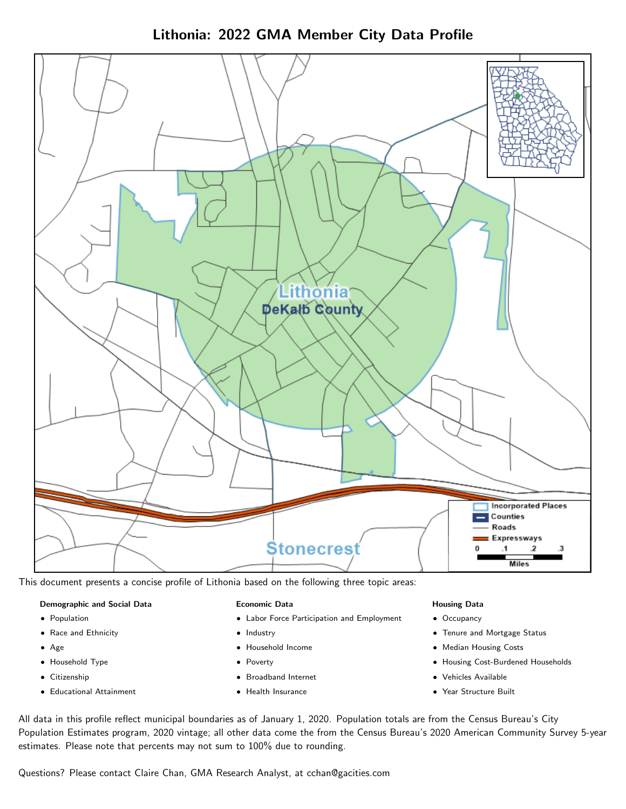Lithonia: 2022 GMA Member City Data Profile



This document presents a concise profile of Lithonia based on the following three topic areas:

### Demographic and Social Data

- **•** Population
- Race and Ethnicity
- Age
- Household Type
- **Citizenship**
- Educational Attainment

### Economic Data

- Labor Force Participation and Employment
- Industry
- Household Income
- Poverty
- Broadband Internet
- Health Insurance

### Housing Data

- Occupancy
- Tenure and Mortgage Status
- Median Housing Costs
- Housing Cost-Burdened Households
- Vehicles Available
- Year Structure Built

All data in this profile reflect municipal boundaries as of January 1, 2020. Population totals are from the Census Bureau's City Population Estimates program, 2020 vintage; all other data come the from the Census Bureau's 2020 American Community Survey 5-year estimates. Please note that percents may not sum to 100% due to rounding.

Questions? Please contact Claire Chan, GMA Research Analyst, at [cchan@gacities.com.](mailto:cchan@gacities.com)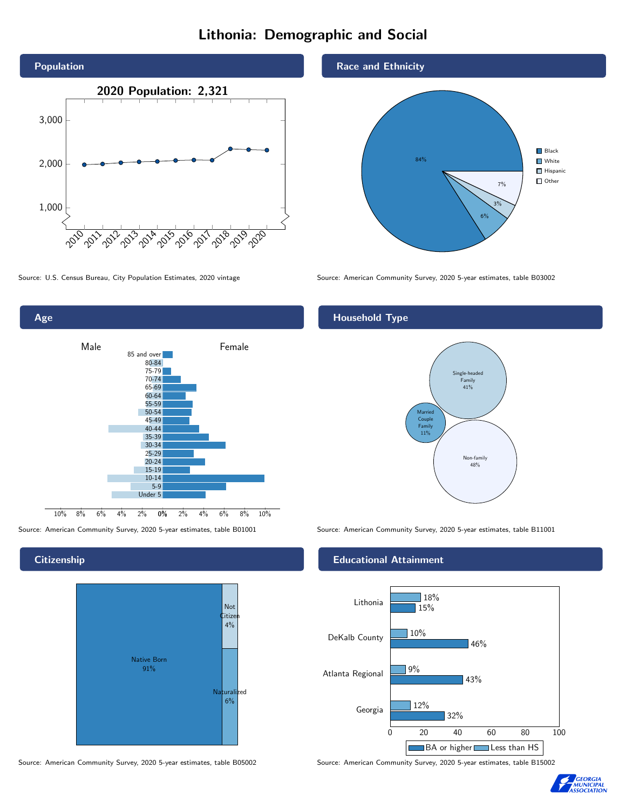# Lithonia: Demographic and Social





**Citizenship** 





Source: U.S. Census Bureau, City Population Estimates, 2020 vintage Source: American Community Survey, 2020 5-year estimates, table B03002

## Household Type



Source: American Community Survey, 2020 5-year estimates, table B01001 Source: American Community Survey, 2020 5-year estimates, table B11001

### Educational Attainment



Source: American Community Survey, 2020 5-year estimates, table B05002 Source: American Community Survey, 2020 5-year estimates, table B15002

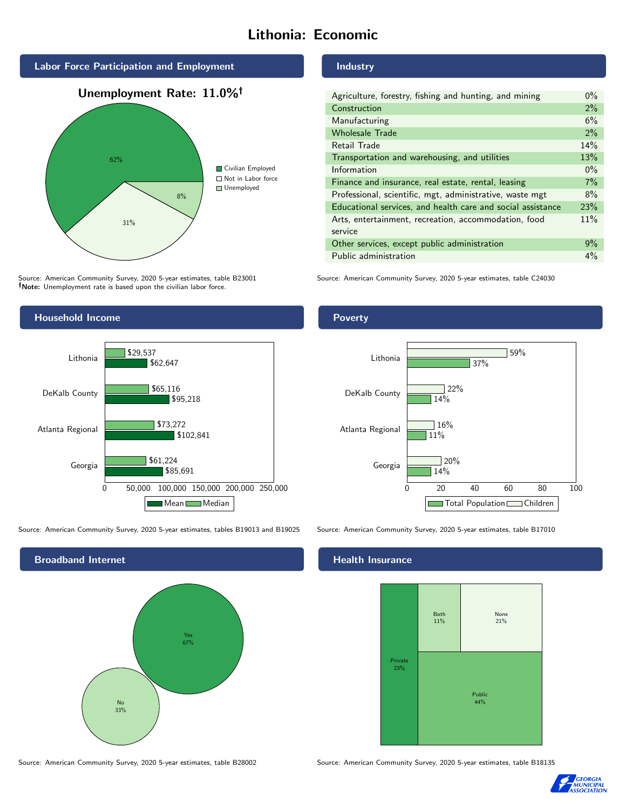# Lithonia: Economic





Source: American Community Survey, 2020 5-year estimates, table B23001 Note: Unemployment rate is based upon the civilian labor force.

Industry

| Agriculture, forestry, fishing and hunting, and mining      | $0\%$ |
|-------------------------------------------------------------|-------|
| Construction                                                | 2%    |
| Manufacturing                                               | 6%    |
| <b>Wholesale Trade</b>                                      | 2%    |
| Retail Trade                                                | 14%   |
| Transportation and warehousing, and utilities               | 13%   |
| Information                                                 | $0\%$ |
| Finance and insurance, real estate, rental, leasing         | 7%    |
| Professional, scientific, mgt, administrative, waste mgt    | 8%    |
| Educational services, and health care and social assistance | 23%   |
| Arts, entertainment, recreation, accommodation, food        | 11%   |
| service                                                     |       |
| Other services, except public administration                | $9\%$ |
| Public administration                                       | $4\%$ |

Source: American Community Survey, 2020 5-year estimates, table C24030



Source: American Community Survey, 2020 5-year estimates, tables B19013 and B19025 Source: American Community Survey, 2020 5-year estimates, table B17010



Poverty



## **Health Insurance**



Source: American Community Survey, 2020 5-year estimates, table B28002 Source: American Community Survey, 2020 5-year estimates, table B18135